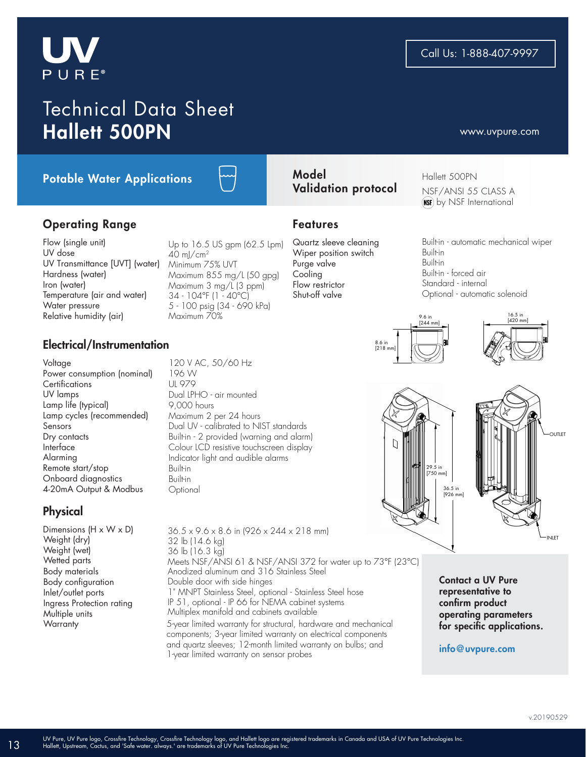# $P U R E<sup>°</sup>$

Potable Water Applications

Flow (single unit) UV dose UV Transmittance [UVT] (water) Hardness (water) Iron (water) Temperature (air and water) Water pressure Relative humidity (air)

Operating Range

### Electrical/Instrumentation

Voltage Power consumption (nominal) **Certifications** UV lamps Lamp life (typical) Lamp cycles (recommended) Sensors Dry contacts Interface Alarming Remote start/stop Onboard diagnostics 4-20mA Output & Modbus

## **Physical**

Dimensions (H x W x D) Weight (dry) Weight (wet) Wetted parts Body materials Body configuration Inlet/outlet ports Ingress Protection rating Multiple units **Warranty** 

120 V AC, 50/60 Hz 196 W UL 979 Dual LPHO - air mounted 9,000 hours Maximum 2 per 24 hours Dual UV - calibrated to NIST standards Built-in - 2 provided (warning and alarm) Colour LCD resistive touchscreen display Indicator light and audible alarms Built-in Built-in **Optional** 

Up to 16.5 US gpm (62.5 Lpm)

Maximum 855 mg/L (50 gpg) Maximum 3 mg/L (3 ppm) 34 - 104°F (1 - 40°C) 5 - 100 psig (34 - 690 kPa)

 $40 \text{ ml/cm}^2$ Minimum 75% UVT

Maximum 70%

5-year limited warranty for structural, hardware and mechanical 36.5 x 9.6 x 8.6 in (926 x 244 x 218 mm) 32 lb (14.6 kg) 36 lb (16.3 kg) Meets NSF/ANSI 61 & NSF/ANSI 372 for water up to 73°F (23°C) Anodized aluminum and 316 Stainless Steel Double door with side hinges 1" MNPT Stainless Steel, optional - Stainless Steel hose IP 51, optional - IP 66 for NEMA cabinet systems Multiplex manifold and cabinets available

components; 3-year limited warranty on electrical components and quartz sleeves; 12-month limited warranty on bulbs; and 1-year limited warranty on sensor probes

#### Model Validation protocol

#### Features

Quartz sleeve cleaning Wiper position switch Purge valve Cooling Flow restrictor Shut-off valve

Built-in - automatic mechanical wiper Built-in Built-in Built-in - forced air Standard - internal Optional - automatic solenoid

Hallett 500PN

NSF/ANSI 55 CLASS A (NSE) by NSF International







Contact a UV Pure representative to confirm product operating parameters for specific applications.

#### info@uvpure.com